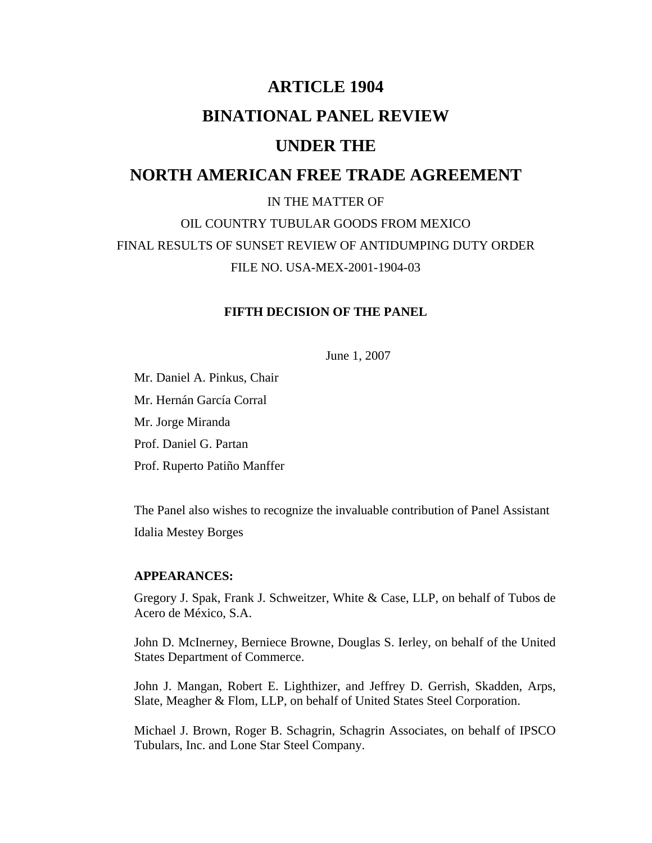# **ARTICLE 1904 BINATIONAL PANEL REVIEW UNDER THE NORTH AMERICAN FREE TRADE AGREEMENT**  IN THE MATTER OF

OIL COUNTRY TUBULAR GOODS FROM MEXICO FINAL RESULTS OF SUNSET REVIEW OF ANTIDUMPING DUTY ORDER FILE NO. USA-MEX-2001-1904-03

#### **FIFTH DECISION OF THE PANEL**

June 1, 2007

 Mr. Daniel A. Pinkus, Chair Mr. Hernán García Corral Mr. Jorge Miranda Prof. Daniel G. Partan Prof. Ruperto Patiño Manffer

 The Panel also wishes to recognize the invaluable contribution of Panel Assistant Idalia Mestey Borges

## **APPEARANCES:**

 Gregory J. Spak, Frank J. Schweitzer, White & Case, LLP, on behalf of Tubos de Acero de México, S.A.

 John D. McInerney, Berniece Browne, Douglas S. Ierley, on behalf of the United States Department of Commerce.

 John J. Mangan, Robert E. Lighthizer, and Jeffrey D. Gerrish, Skadden, Arps, Slate, Meagher & Flom, LLP, on behalf of United States Steel Corporation.

 Michael J. Brown, Roger B. Schagrin, Schagrin Associates, on behalf of IPSCO Tubulars, Inc. and Lone Star Steel Company.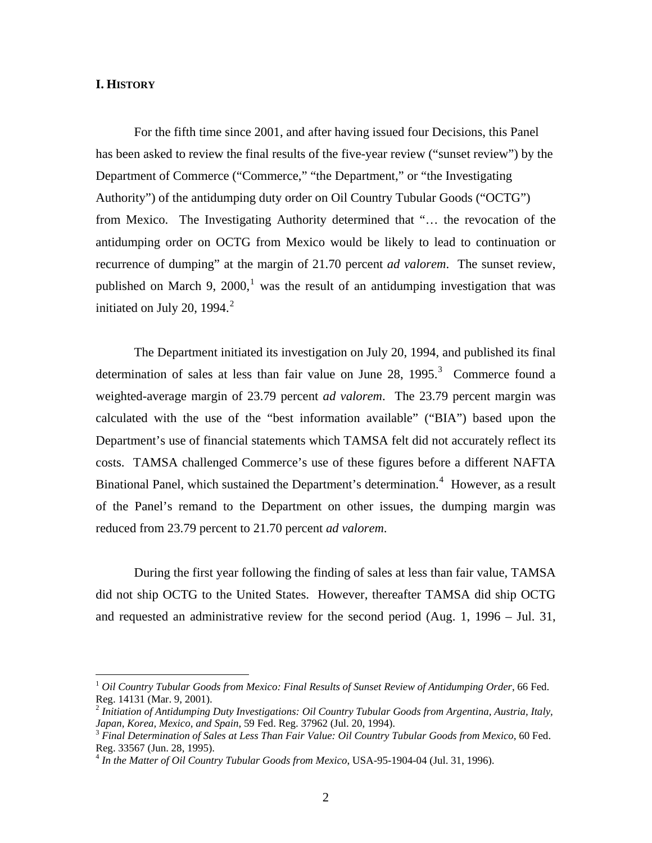#### **I. HISTORY**

 $\overline{a}$ 

 For the fifth time since 2001, and after having issued four Decisions, this Panel has been asked to review the final results of the five-year review ("sunset review") by the Department of Commerce ("Commerce," "the Department," or "the Investigating Authority") of the antidumping duty order on Oil Country Tubular Goods ("OCTG") from Mexico. The Investigating Authority determined that "… the revocation of the antidumping order on OCTG from Mexico would be likely to lead to continuation or recurrence of dumping" at the margin of 21.70 percent *ad valorem*. The sunset review, published on March 9, 2000,<sup>[1](#page-1-0)</sup> was the result of an antidumping investigation that was initiated on July [2](#page-1-1)0, 1994. $^2$ 

 The Department initiated its investigation on July 20, 1994, and published its final determination of sales at less than fair value on June 28, 1995.<sup>[3](#page-1-2)</sup> Commerce found a weighted-average margin of 23.79 percent *ad valorem*. The 23.79 percent margin was calculated with the use of the "best information available" ("BIA") based upon the Department's use of financial statements which TAMSA felt did not accurately reflect its costs. TAMSA challenged Commerce's use of these figures before a different NAFTA Binational Panel, which sustained the Department's determination.<sup>[4](#page-1-3)</sup> However, as a result of the Panel's remand to the Department on other issues, the dumping margin was reduced from 23.79 percent to 21.70 percent *ad valorem*.

 During the first year following the finding of sales at less than fair value, TAMSA did not ship OCTG to the United States. However, thereafter TAMSA did ship OCTG and requested an administrative review for the second period (Aug. 1, 1996 – Jul. 31,

<span id="page-1-0"></span><sup>1</sup> *Oil Country Tubular Goods from Mexico: Final Results of Sunset Review of Antidumping Order*, 66 Fed. Reg. 14131 (Mar. 9, 2001).

<span id="page-1-1"></span><sup>2</sup> *Initiation of Antidumping Duty Investigations: Oil Country Tubular Goods from Argentina, Austria, Italy, Japan, Korea, Mexico, and Spain, 59 Fed. Reg. 37962 (Jul. 20, 1994).*<br><sup>3</sup> *Final Determination of Sales at Less Than Fair Value: Oil Country Tubular Goods from Mexico, 60 Fed.* 

<span id="page-1-2"></span>Reg. 33567 (Jun. 28, 1995).

<span id="page-1-3"></span><sup>4</sup> *In the Matter of Oil Country Tubular Goods from Mexico*, USA-95-1904-04 (Jul. 31, 1996).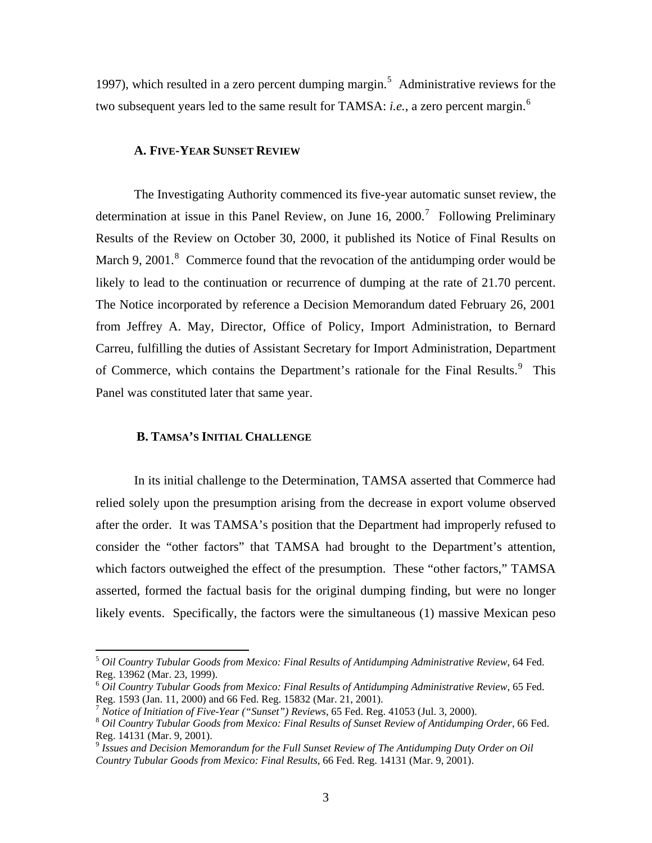1997), which resulted in a zero percent dumping margin.<sup>[5](#page-2-0)</sup> Administrative reviews for the two subsequent years led to the same result for TAMSA: *i.e.*, a zero percent margin.<sup>[6](#page-2-1)</sup>

#### **A. FIVE-YEAR SUNSET REVIEW**

 The Investigating Authority commenced its five-year automatic sunset review, the determination at issue in this Panel Review, on June 16, 2000.<sup>[7](#page-2-2)</sup> Following Preliminary Results of the Review on October 30, 2000, it published its Notice of Final Results on March 9, 2001. $8$  Commerce found that the revocation of the antidumping order would be likely to lead to the continuation or recurrence of dumping at the rate of 21.70 percent. The Notice incorporated by reference a Decision Memorandum dated February 26, 2001 from Jeffrey A. May, Director, Office of Policy, Import Administration, to Bernard Carreu, fulfilling the duties of Assistant Secretary for Import Administration, Department of Commerce, which contains the Department's rationale for the Final Results.<sup>[9](#page-2-4)</sup> This Panel was constituted later that same year.

#### **B. TAMSA'S INITIAL CHALLENGE**

 $\overline{a}$ 

 In its initial challenge to the Determination, TAMSA asserted that Commerce had relied solely upon the presumption arising from the decrease in export volume observed after the order. It was TAMSA's position that the Department had improperly refused to consider the "other factors" that TAMSA had brought to the Department's attention, which factors outweighed the effect of the presumption. These "other factors," TAMSA asserted, formed the factual basis for the original dumping finding, but were no longer likely events. Specifically, the factors were the simultaneous (1) massive Mexican peso

<span id="page-2-0"></span><sup>5</sup> *Oil Country Tubular Goods from Mexico: Final Results of Antidumping Administrative Review*, 64 Fed. Reg. 13962 (Mar. 23, 1999).

<span id="page-2-1"></span><sup>6</sup> *Oil Country Tubular Goods from Mexico: Final Results of Antidumping Administrative Review*, 65 Fed. Reg. 1593 (Jan. 11, 2000) and 66 Fed. Reg. 15832 (Mar. 21, 2001).

<span id="page-2-3"></span><span id="page-2-2"></span><sup>&</sup>lt;sup>7</sup> Notice of Initiation of Five-Year ("Sunset") Reviews, 65 Fed. Reg. 41053 (Jul. 3, 2000).<br><sup>8</sup> Oil Country Tubular Goods from Mexico: Final Results of Sunset Review of Antidumping Order, 66 Fed. Reg. 14131 (Mar. 9, 2001).

<span id="page-2-4"></span><sup>9</sup> *Issues and Decision Memorandum for the Full Sunset Review of The Antidumping Duty Order on Oil Country Tubular Goods from Mexico: Final Results*, 66 Fed. Reg. 14131 (Mar. 9, 2001).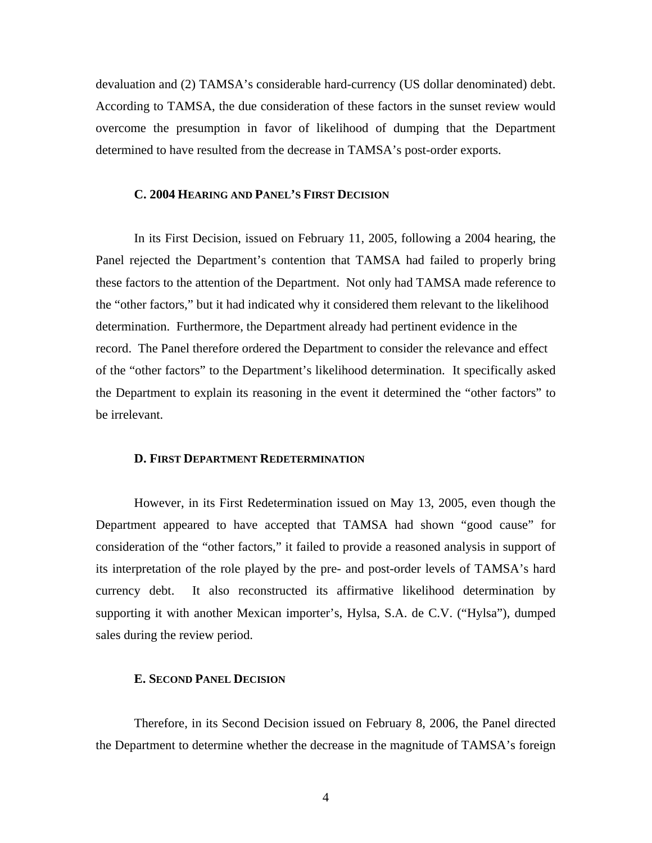devaluation and (2) TAMSA's considerable hard-currency (US dollar denominated) debt. According to TAMSA, the due consideration of these factors in the sunset review would overcome the presumption in favor of likelihood of dumping that the Department determined to have resulted from the decrease in TAMSA's post-order exports.

#### **C. 2004 HEARING AND PANEL'S FIRST DECISION**

 In its First Decision, issued on February 11, 2005, following a 2004 hearing, the Panel rejected the Department's contention that TAMSA had failed to properly bring these factors to the attention of the Department. Not only had TAMSA made reference to the "other factors," but it had indicated why it considered them relevant to the likelihood determination. Furthermore, the Department already had pertinent evidence in the record. The Panel therefore ordered the Department to consider the relevance and effect of the "other factors" to the Department's likelihood determination. It specifically asked the Department to explain its reasoning in the event it determined the "other factors" to be irrelevant.

#### **D. FIRST DEPARTMENT REDETERMINATION**

 However, in its First Redetermination issued on May 13, 2005, even though the Department appeared to have accepted that TAMSA had shown "good cause" for consideration of the "other factors," it failed to provide a reasoned analysis in support of its interpretation of the role played by the pre- and post-order levels of TAMSA's hard currency debt. It also reconstructed its affirmative likelihood determination by supporting it with another Mexican importer's, Hylsa, S.A. de C.V. ("Hylsa"), dumped sales during the review period.

# **E. SECOND PANEL DECISION**

 Therefore, in its Second Decision issued on February 8, 2006, the Panel directed the Department to determine whether the decrease in the magnitude of TAMSA's foreign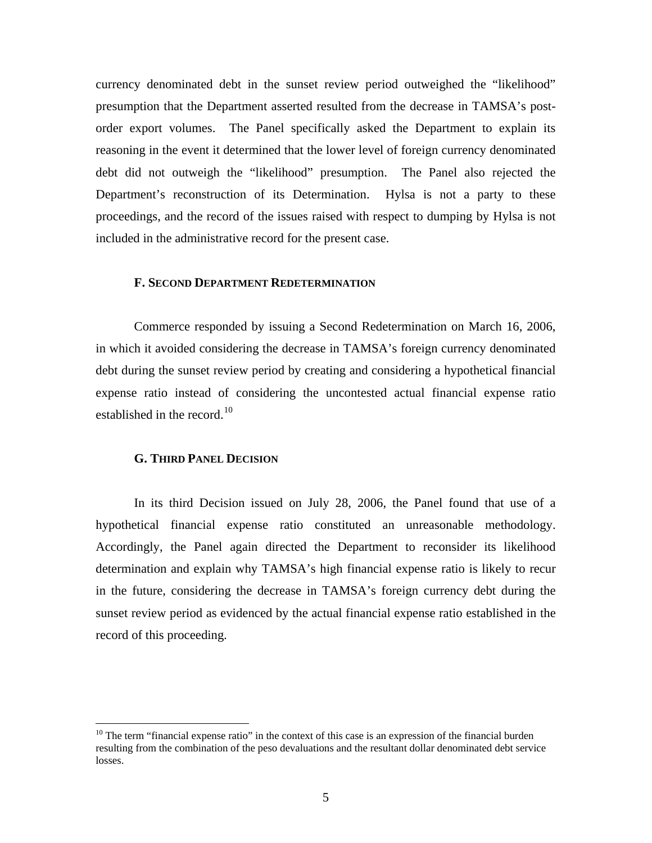currency denominated debt in the sunset review period outweighed the "likelihood" presumption that the Department asserted resulted from the decrease in TAMSA's postorder export volumes. The Panel specifically asked the Department to explain its reasoning in the event it determined that the lower level of foreign currency denominated debt did not outweigh the "likelihood" presumption. The Panel also rejected the Department's reconstruction of its Determination. Hylsa is not a party to these proceedings, and the record of the issues raised with respect to dumping by Hylsa is not included in the administrative record for the present case.

# **F. SECOND DEPARTMENT REDETERMINATION**

 Commerce responded by issuing a Second Redetermination on March 16, 2006, in which it avoided considering the decrease in TAMSA's foreign currency denominated debt during the sunset review period by creating and considering a hypothetical financial expense ratio instead of considering the uncontested actual financial expense ratio established in the record.<sup>[10](#page-4-0)</sup>

#### **G. THIRD PANEL DECISION**

 $\overline{a}$ 

 In its third Decision issued on July 28, 2006, the Panel found that use of a hypothetical financial expense ratio constituted an unreasonable methodology. Accordingly, the Panel again directed the Department to reconsider its likelihood determination and explain why TAMSA's high financial expense ratio is likely to recur in the future, considering the decrease in TAMSA's foreign currency debt during the sunset review period as evidenced by the actual financial expense ratio established in the record of this proceeding.

<span id="page-4-0"></span><sup>&</sup>lt;sup>10</sup> The term "financial expense ratio" in the context of this case is an expression of the financial burden resulting from the combination of the peso devaluations and the resultant dollar denominated debt service losses.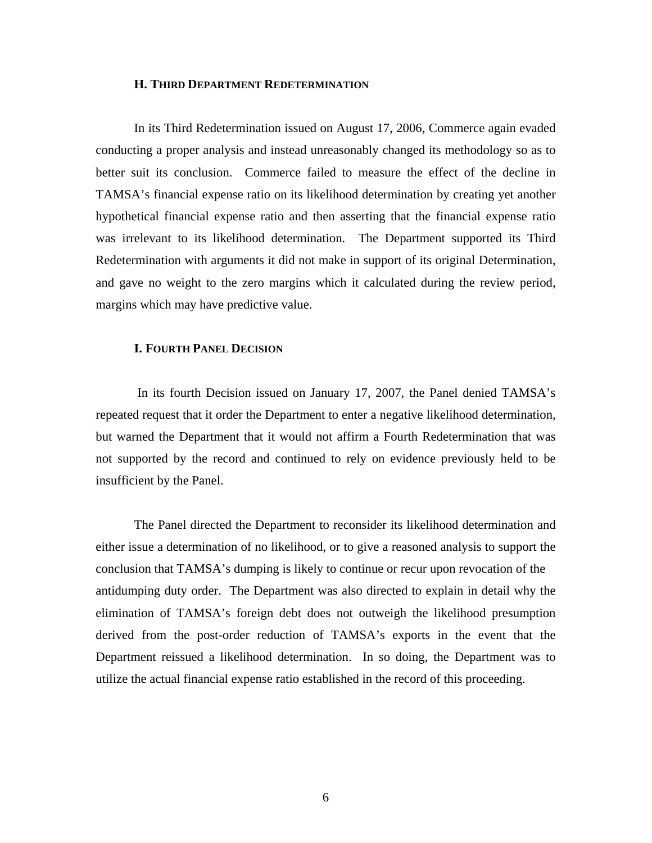#### **H. THIRD DEPARTMENT REDETERMINATION**

 In its Third Redetermination issued on August 17, 2006, Commerce again evaded conducting a proper analysis and instead unreasonably changed its methodology so as to better suit its conclusion. Commerce failed to measure the effect of the decline in TAMSA's financial expense ratio on its likelihood determination by creating yet another hypothetical financial expense ratio and then asserting that the financial expense ratio was irrelevant to its likelihood determination. The Department supported its Third Redetermination with arguments it did not make in support of its original Determination, and gave no weight to the zero margins which it calculated during the review period, margins which may have predictive value.

#### **I. FOURTH PANEL DECISION**

 In its fourth Decision issued on January 17, 2007, the Panel denied TAMSA's repeated request that it order the Department to enter a negative likelihood determination, but warned the Department that it would not affirm a Fourth Redetermination that was not supported by the record and continued to rely on evidence previously held to be insufficient by the Panel.

 The Panel directed the Department to reconsider its likelihood determination and either issue a determination of no likelihood, or to give a reasoned analysis to support the conclusion that TAMSA's dumping is likely to continue or recur upon revocation of the antidumping duty order. The Department was also directed to explain in detail why the elimination of TAMSA's foreign debt does not outweigh the likelihood presumption derived from the post-order reduction of TAMSA's exports in the event that the Department reissued a likelihood determination. In so doing, the Department was to utilize the actual financial expense ratio established in the record of this proceeding.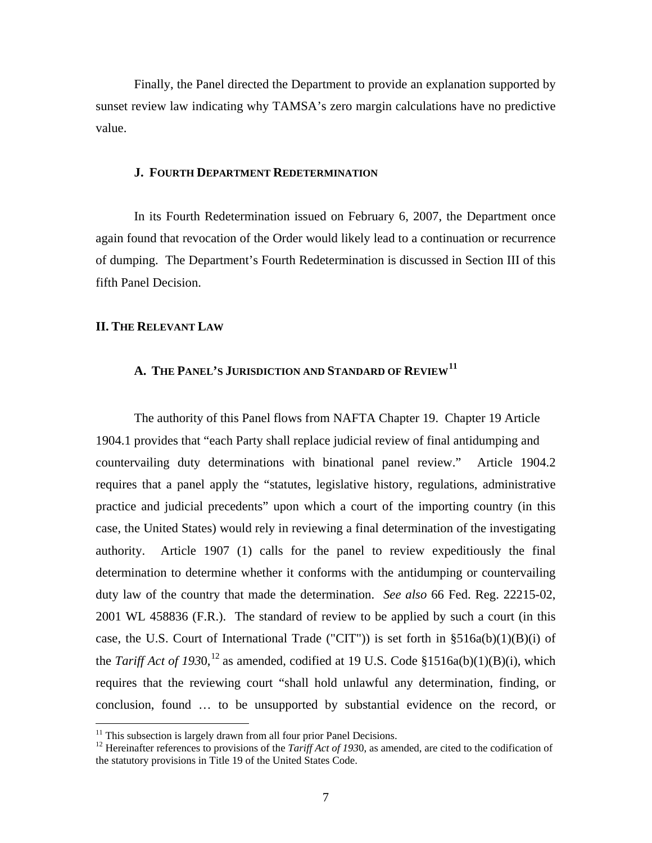Finally, the Panel directed the Department to provide an explanation supported by sunset review law indicating why TAMSA's zero margin calculations have no predictive value.

#### **J. FOURTH DEPARTMENT REDETERMINATION**

 In its Fourth Redetermination issued on February 6, 2007, the Department once again found that revocation of the Order would likely lead to a continuation or recurrence of dumping. The Department's Fourth Redetermination is discussed in Section III of this fifth Panel Decision.

#### **II. THE RELEVANT LAW**

 $\overline{a}$ 

# **A. THE PANEL'S JURISDICTION AND STANDARD OF REVIEW[11](#page-6-0)**

 The authority of this Panel flows from NAFTA Chapter 19. Chapter 19 Article 1904.1 provides that "each Party shall replace judicial review of final antidumping and countervailing duty determinations with binational panel review." Article 1904.2 requires that a panel apply the "statutes, legislative history, regulations, administrative practice and judicial precedents" upon which a court of the importing country (in this case, the United States) would rely in reviewing a final determination of the investigating authority. Article 1907 (1) calls for the panel to review expeditiously the final determination to determine whether it conforms with the antidumping or countervailing duty law of the country that made the determination. *See also* 66 Fed. Reg. 22215-02, 2001 WL 458836 (F.R.). The standard of review to be applied by such a court (in this case, the U.S. Court of International Trade ("CIT")) is set forth in  $\S516a(b)(1)(B)(i)$  of the *Tariff Act of*  $1930$ ,<sup>[12](#page-6-1)</sup> as amended, codified at 19 U.S. Code §1516a(b)(1)(B)(i), which requires that the reviewing court "shall hold unlawful any determination, finding, or conclusion, found … to be unsupported by substantial evidence on the record, or

<span id="page-6-1"></span><span id="page-6-0"></span><sup>&</sup>lt;sup>11</sup> This subsection is largely drawn from all four prior Panel Decisions.<br><sup>12</sup> Hereinafter references to provisions of the *Tariff Act of 1930*, as amended, are cited to the codification of the statutory provisions in Title 19 of the United States Code.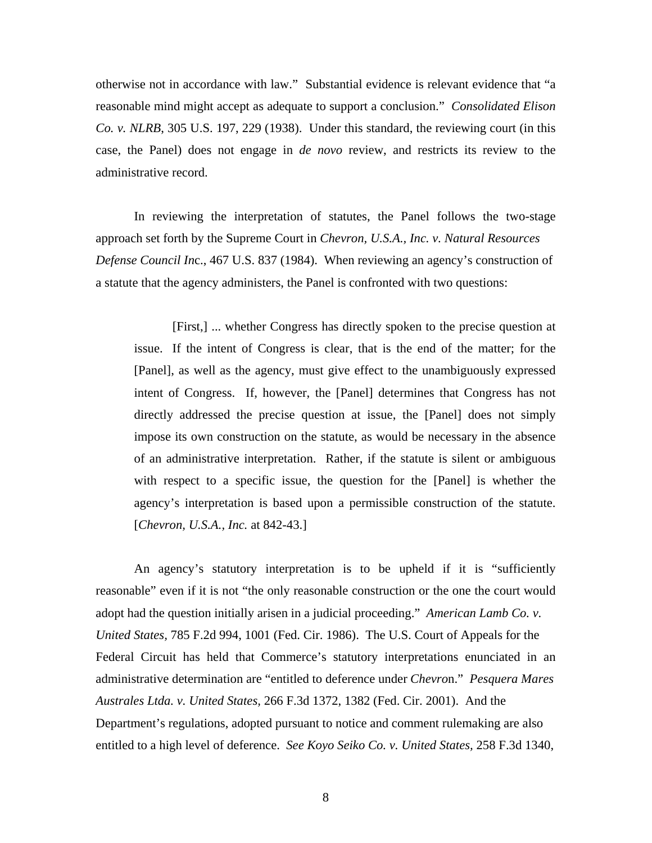otherwise not in accordance with law." Substantial evidence is relevant evidence that "a reasonable mind might accept as adequate to support a conclusion." *Consolidated Elison Co. v. NLRB*, 305 U.S. 197, 229 (1938). Under this standard, the reviewing court (in this case, the Panel) does not engage in *de novo* review, and restricts its review to the administrative record.

 In reviewing the interpretation of statutes, the Panel follows the two-stage approach set forth by the Supreme Court in *Chevron, U.S.A., Inc. v. Natural Resources Defense Council In*c., 467 U.S. 837 (1984). When reviewing an agency's construction of a statute that the agency administers, the Panel is confronted with two questions:

 [First,] ... whether Congress has directly spoken to the precise question at issue. If the intent of Congress is clear, that is the end of the matter; for the [Panel], as well as the agency, must give effect to the unambiguously expressed intent of Congress. If, however, the [Panel] determines that Congress has not directly addressed the precise question at issue, the [Panel] does not simply impose its own construction on the statute, as would be necessary in the absence of an administrative interpretation. Rather, if the statute is silent or ambiguous with respect to a specific issue, the question for the [Panel] is whether the agency's interpretation is based upon a permissible construction of the statute. [*Chevron, U.S.A., Inc.* at 842-43.]

 An agency's statutory interpretation is to be upheld if it is "sufficiently reasonable" even if it is not "the only reasonable construction or the one the court would adopt had the question initially arisen in a judicial proceeding." *American Lamb Co. v. United States,* 785 F.2d 994, 1001 (Fed. Cir. 1986). The U.S. Court of Appeals for the Federal Circuit has held that Commerce's statutory interpretations enunciated in an administrative determination are "entitled to deference under *Chevro*n." *Pesquera Mares Australes Ltda. v. United States,* 266 F.3d 1372, 1382 (Fed. Cir. 2001). And the Department's regulations, adopted pursuant to notice and comment rulemaking are also entitled to a high level of deference. *See Koyo Seiko Co. v. United States,* 258 F.3d 1340,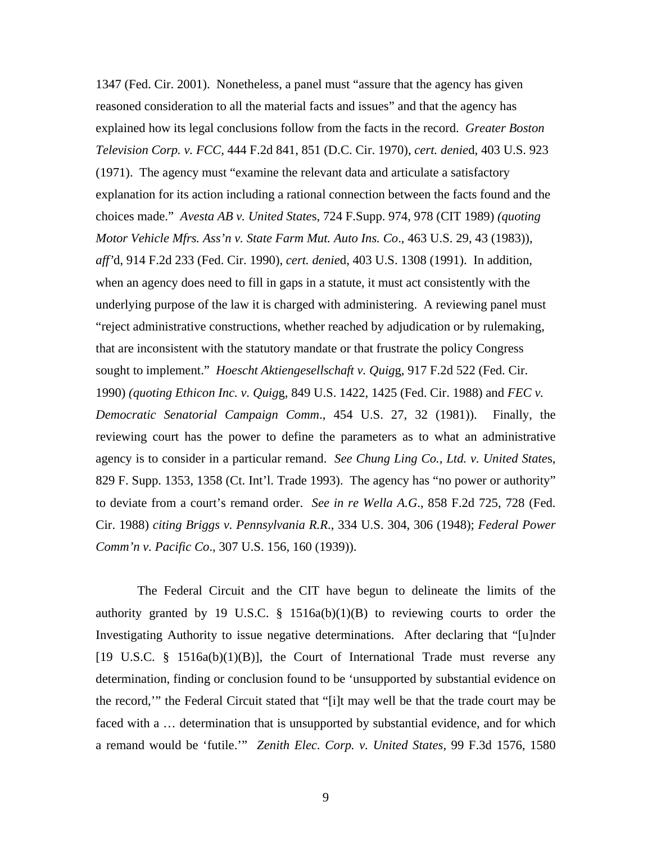1347 (Fed. Cir. 2001). Nonetheless, a panel must "assure that the agency has given reasoned consideration to all the material facts and issues" and that the agency has explained how its legal conclusions follow from the facts in the record. *Greater Boston Television Corp. v. FCC,* 444 F.2d 841, 851 (D.C. Cir. 1970), *cert. denie*d, 403 U.S. 923 (1971). The agency must "examine the relevant data and articulate a satisfactory explanation for its action including a rational connection between the facts found and the choices made." *Avesta AB v. United State*s, 724 F.Supp. 974, 978 (CIT 1989) *(quoting Motor Vehicle Mfrs. Ass'n v. State Farm Mut. Auto Ins. Co*., 463 U.S. 29, 43 (1983)), *aff'*d, 914 F.2d 233 (Fed. Cir. 1990), *cert. denie*d, 403 U.S. 1308 (1991). In addition, when an agency does need to fill in gaps in a statute, it must act consistently with the underlying purpose of the law it is charged with administering. A reviewing panel must "reject administrative constructions, whether reached by adjudication or by rulemaking, that are inconsistent with the statutory mandate or that frustrate the policy Congress sought to implement." *Hoescht Aktiengesellschaft v. Quig*g, 917 F.2d 522 (Fed. Cir. 1990) *(quoting Ethicon Inc. v. Quig*g, 849 U.S. 1422, 1425 (Fed. Cir. 1988) and *FEC v. Democratic Senatorial Campaign Comm*., 454 U.S. 27, 32 (1981)). Finally, the reviewing court has the power to define the parameters as to what an administrative agency is to consider in a particular remand. *See Chung Ling Co., Ltd. v. United State*s, 829 F. Supp. 1353, 1358 (Ct. Int'l. Trade 1993). The agency has "no power or authority" to deviate from a court's remand order. *See in re Wella A.G*., 858 F.2d 725, 728 (Fed. Cir. 1988) *citing Briggs v. Pennsylvania R.R*., 334 U.S. 304, 306 (1948); *Federal Power Comm'n v. Pacific Co*., 307 U.S. 156, 160 (1939)).

The Federal Circuit and the CIT have begun to delineate the limits of the authority granted by 19 U.S.C.  $\S$  1516a(b)(1)(B) to reviewing courts to order the Investigating Authority to issue negative determinations. After declaring that "[u]nder  $[19 \text{ U.S.C. } § 1516a(b)(1)(B)],$  the Court of International Trade must reverse any determination, finding or conclusion found to be 'unsupported by substantial evidence on the record,'" the Federal Circuit stated that "[i]t may well be that the trade court may be faced with a … determination that is unsupported by substantial evidence, and for which a remand would be 'futile.'" *Zenith Elec. Corp. v. United States*, 99 F.3d 1576, 1580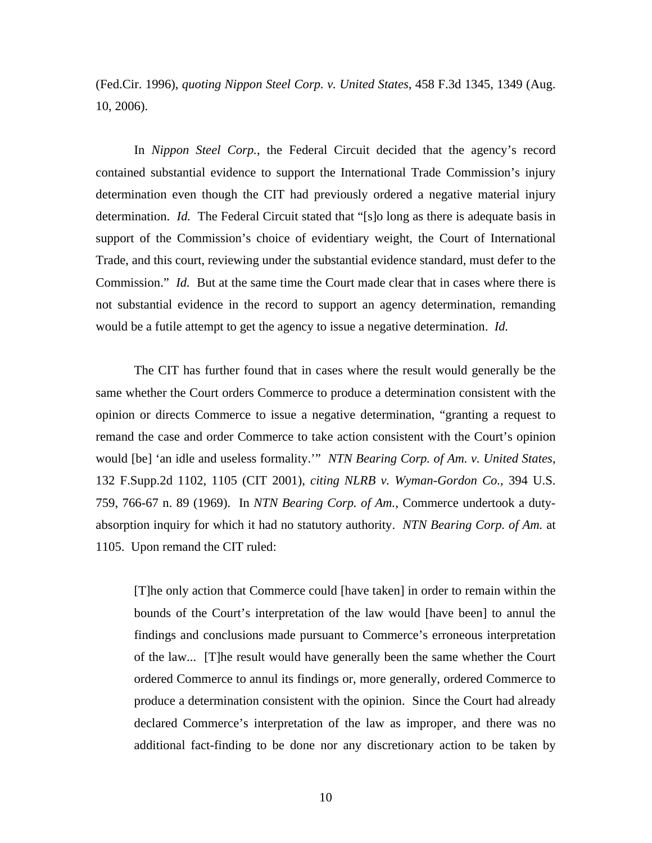(Fed.Cir. 1996), *quoting Nippon Steel Corp. v. United States*, 458 F.3d 1345, 1349 (Aug. 10, 2006).

In *Nippon Steel Corp.*, the Federal Circuit decided that the agency's record contained substantial evidence to support the International Trade Commission's injury determination even though the CIT had previously ordered a negative material injury determination. *Id.* The Federal Circuit stated that "[s]o long as there is adequate basis in support of the Commission's choice of evidentiary weight, the Court of International Trade, and this court, reviewing under the substantial evidence standard, must defer to the Commission." *Id.* But at the same time the Court made clear that in cases where there is not substantial evidence in the record to support an agency determination, remanding would be a futile attempt to get the agency to issue a negative determination. *Id.*

 The CIT has further found that in cases where the result would generally be the same whether the Court orders Commerce to produce a determination consistent with the opinion or directs Commerce to issue a negative determination, "granting a request to remand the case and order Commerce to take action consistent with the Court's opinion would [be] 'an idle and useless formality.'" *NTN Bearing Corp. of Am. v. United States*, 132 F.Supp.2d 1102, 1105 (CIT 2001), *citing NLRB v. Wyman-Gordon Co.*, 394 U.S. 759, 766-67 n. 89 (1969). In *NTN Bearing Corp. of Am.*, Commerce undertook a dutyabsorption inquiry for which it had no statutory authority. *NTN Bearing Corp. of Am.* at 1105. Upon remand the CIT ruled:

[T]he only action that Commerce could [have taken] in order to remain within the bounds of the Court's interpretation of the law would [have been] to annul the findings and conclusions made pursuant to Commerce's erroneous interpretation of the law... [T]he result would have generally been the same whether the Court ordered Commerce to annul its findings or, more generally, ordered Commerce to produce a determination consistent with the opinion. Since the Court had already declared Commerce's interpretation of the law as improper, and there was no additional fact-finding to be done nor any discretionary action to be taken by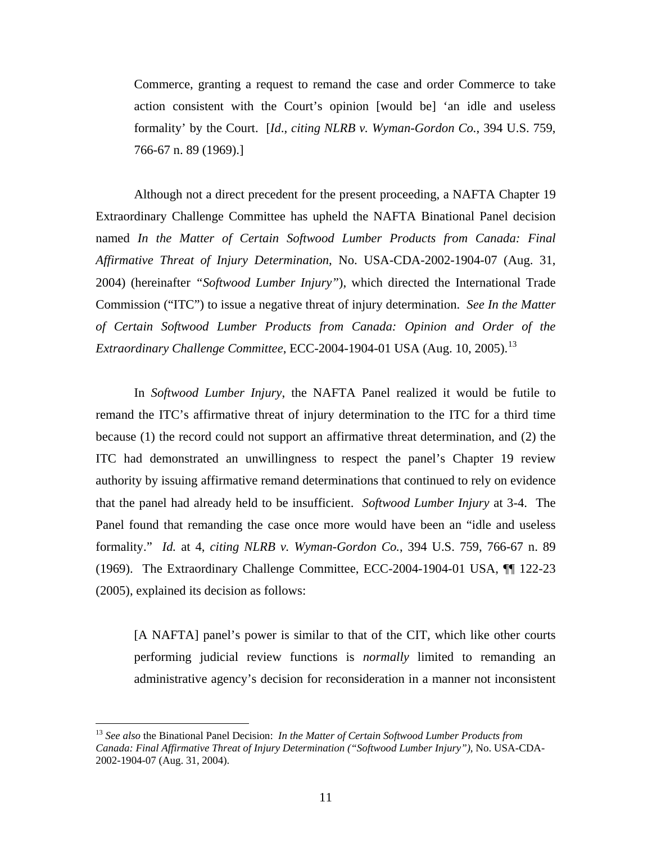Commerce, granting a request to remand the case and order Commerce to take action consistent with the Court's opinion [would be] 'an idle and useless formality' by the Court. [*Id*., *citing NLRB v. Wyman-Gordon Co.*, 394 U.S. 759, 766-67 n. 89 (1969).]

 Although not a direct precedent for the present proceeding, a NAFTA Chapter 19 Extraordinary Challenge Committee has upheld the NAFTA Binational Panel decision named *In the Matter of Certain Softwood Lumber Products from Canada: Final Affirmative Threat of Injury Determination*, No. USA-CDA-2002-1904-07 (Aug. 31, 2004) (hereinafter *"Softwood Lumber Injury"*), which directed the International Trade Commission ("ITC") to issue a negative threat of injury determination. *See In the Matter of Certain Softwood Lumber Products from Canada: Opinion and Order of the*  Extraordinary Challenge Committee, ECC-2004-1904-01 USA (Aug. 10, 2005).<sup>[13](#page-10-0)</sup>

In *Softwood Lumber Injury*, the NAFTA Panel realized it would be futile to remand the ITC's affirmative threat of injury determination to the ITC for a third time because (1) the record could not support an affirmative threat determination, and (2) the ITC had demonstrated an unwillingness to respect the panel's Chapter 19 review authority by issuing affirmative remand determinations that continued to rely on evidence that the panel had already held to be insufficient. *Softwood Lumber Injury* at 3-4. The Panel found that remanding the case once more would have been an "idle and useless formality." *Id.* at 4, *citing NLRB v. Wyman-Gordon Co.*, 394 U.S. 759, 766-67 n. 89 (1969). The Extraordinary Challenge Committee, ECC-2004-1904-01 USA, ¶¶ 122-23 (2005), explained its decision as follows:

[A NAFTA] panel's power is similar to that of the CIT, which like other courts performing judicial review functions is *normally* limited to remanding an administrative agency's decision for reconsideration in a manner not inconsistent

<span id="page-10-0"></span><sup>13</sup> *See also* the Binational Panel Decision: *In the Matter of Certain Softwood Lumber Products from Canada: Final Affirmative Threat of Injury Determination ("Softwood Lumber Injury")*, No. USA-CDA-2002-1904-07 (Aug. 31, 2004).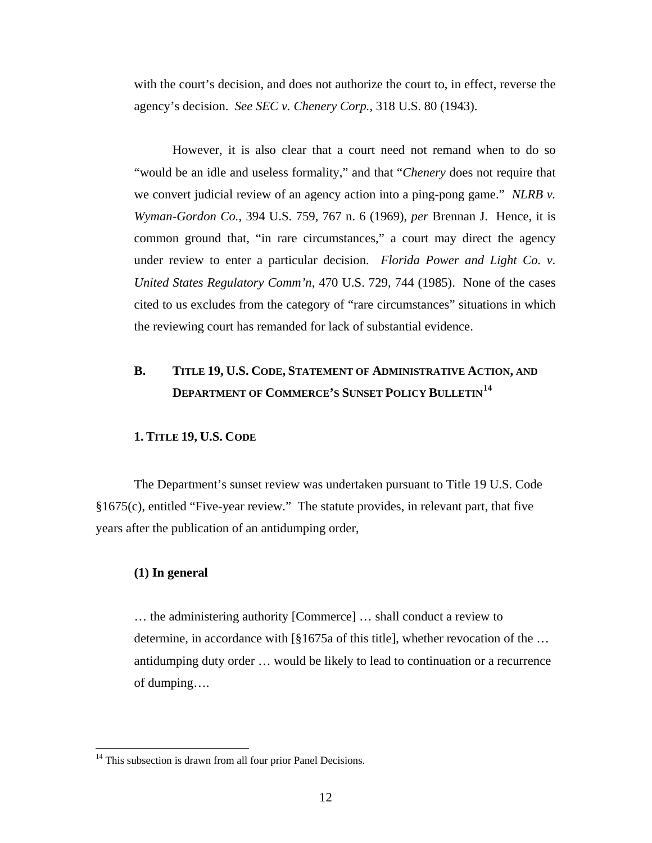with the court's decision, and does not authorize the court to, in effect, reverse the agency's decision. *See SEC v. Chenery Corp.*, 318 U.S. 80 (1943).

However, it is also clear that a court need not remand when to do so "would be an idle and useless formality," and that "*Chenery* does not require that we convert judicial review of an agency action into a ping-pong game." *NLRB v. Wyman-Gordon Co.*, 394 U.S. 759, 767 n. 6 (1969), *per* Brennan J. Hence, it is common ground that, "in rare circumstances," a court may direct the agency under review to enter a particular decision. *Florida Power and Light Co. v. United States Regulatory Comm'n,* 470 U.S. 729, 744 (1985). None of the cases cited to us excludes from the category of "rare circumstances" situations in which the reviewing court has remanded for lack of substantial evidence.

# **B. TITLE 19, U.S. CODE, STATEMENT OF ADMINISTRATIVE ACTION, AND DEPARTMENT OF COMMERCE'S SUNSET POLICY BULLETIN[14](#page-11-0)**

# **1. TITLE 19, U.S. CODE**

 The Department's sunset review was undertaken pursuant to Title 19 U.S. Code §1675(c), entitled "Five-year review." The statute provides, in relevant part, that five years after the publication of an antidumping order,

## **(1) In general**

 $\overline{a}$ 

 … the administering authority [Commerce] … shall conduct a review to determine, in accordance with [§1675a of this title], whether revocation of the … antidumping duty order … would be likely to lead to continuation or a recurrence of dumping….

<span id="page-11-0"></span> $14$  This subsection is drawn from all four prior Panel Decisions.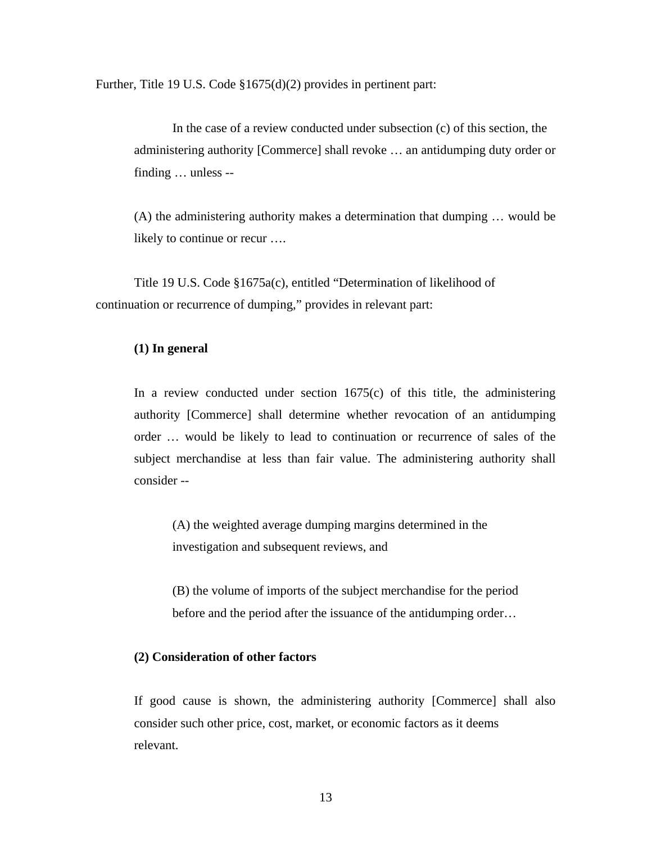Further, Title 19 U.S. Code §1675(d)(2) provides in pertinent part:

 In the case of a review conducted under subsection (c) of this section, the administering authority [Commerce] shall revoke … an antidumping duty order or finding … unless --

 (A) the administering authority makes a determination that dumping … would be likely to continue or recur ….

 Title 19 U.S. Code §1675a(c), entitled "Determination of likelihood of continuation or recurrence of dumping," provides in relevant part:

## **(1) In general**

In a review conducted under section  $1675(c)$  of this title, the administering authority [Commerce] shall determine whether revocation of an antidumping order … would be likely to lead to continuation or recurrence of sales of the subject merchandise at less than fair value. The administering authority shall consider --

 (A) the weighted average dumping margins determined in the investigation and subsequent reviews, and

 (B) the volume of imports of the subject merchandise for the period before and the period after the issuance of the antidumping order…

# **(2) Consideration of other factors**

 If good cause is shown, the administering authority [Commerce] shall also consider such other price, cost, market, or economic factors as it deems relevant.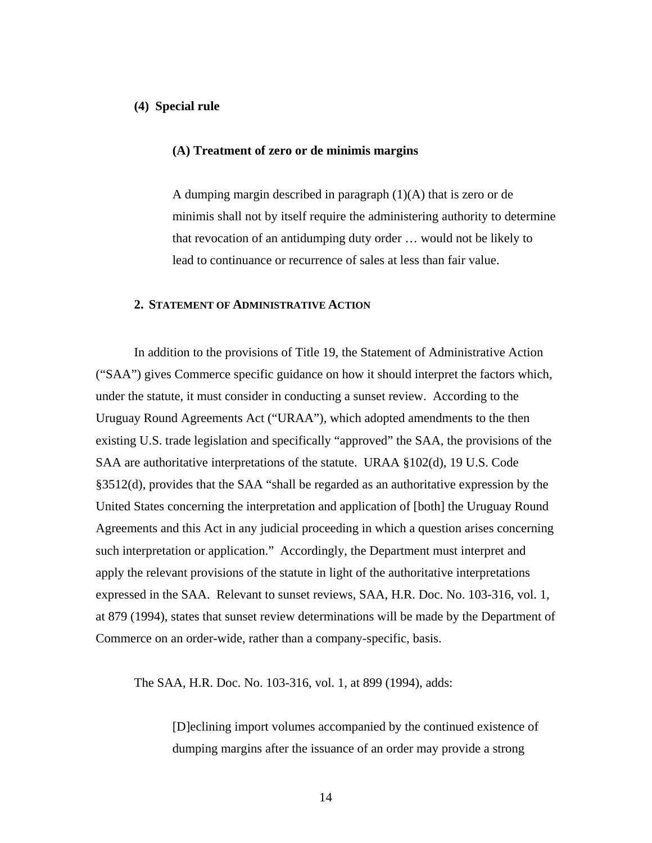#### **(4) Special rule**

#### **(A) Treatment of zero or de minimis margins**

A dumping margin described in paragraph  $(1)(A)$  that is zero or de minimis shall not by itself require the administering authority to determine that revocation of an antidumping duty order … would not be likely to lead to continuance or recurrence of sales at less than fair value.

# **2. STATEMENT OF ADMINISTRATIVE ACTION**

 In addition to the provisions of Title 19, the Statement of Administrative Action ("SAA") gives Commerce specific guidance on how it should interpret the factors which, under the statute, it must consider in conducting a sunset review. According to the Uruguay Round Agreements Act ("URAA"), which adopted amendments to the then existing U.S. trade legislation and specifically "approved" the SAA, the provisions of the SAA are authoritative interpretations of the statute. URAA §102(d), 19 U.S. Code §3512(d), provides that the SAA "shall be regarded as an authoritative expression by the United States concerning the interpretation and application of [both] the Uruguay Round Agreements and this Act in any judicial proceeding in which a question arises concerning such interpretation or application." Accordingly, the Department must interpret and apply the relevant provisions of the statute in light of the authoritative interpretations expressed in the SAA. Relevant to sunset reviews, SAA, H.R. Doc. No. 103-316, vol. 1, at 879 (1994), states that sunset review determinations will be made by the Department of Commerce on an order-wide, rather than a company-specific, basis.

The SAA, H.R. Doc. No. 103-316, vol. 1, at 899 (1994), adds:

 [D]eclining import volumes accompanied by the continued existence of dumping margins after the issuance of an order may provide a strong

14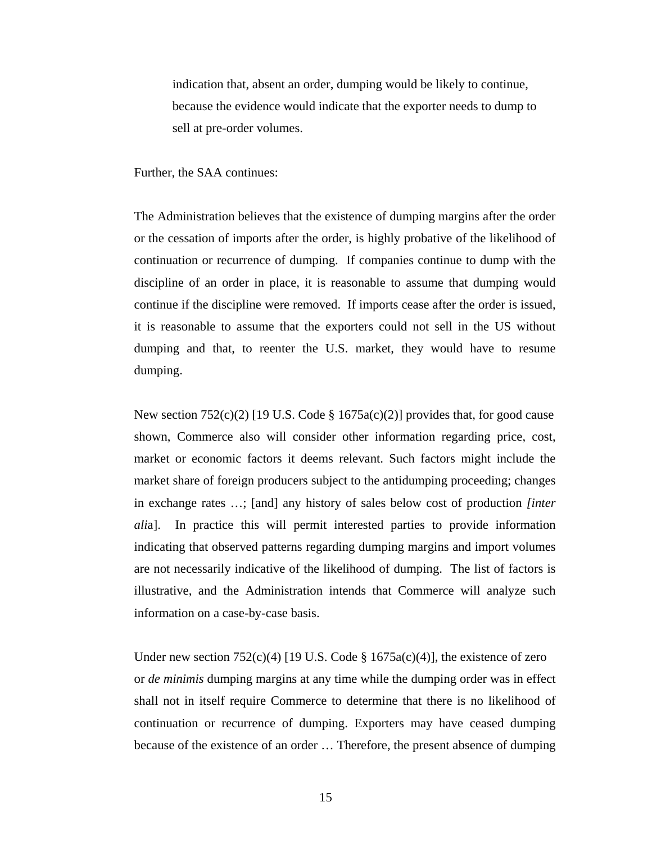indication that, absent an order, dumping would be likely to continue, because the evidence would indicate that the exporter needs to dump to sell at pre-order volumes.

Further, the SAA continues:

The Administration believes that the existence of dumping margins after the order or the cessation of imports after the order, is highly probative of the likelihood of continuation or recurrence of dumping. If companies continue to dump with the discipline of an order in place, it is reasonable to assume that dumping would continue if the discipline were removed. If imports cease after the order is issued, it is reasonable to assume that the exporters could not sell in the US without dumping and that, to reenter the U.S. market, they would have to resume dumping.

New section  $752(c)(2)$  [19 U.S. Code § 1675a(c)(2)] provides that, for good cause shown, Commerce also will consider other information regarding price, cost, market or economic factors it deems relevant. Such factors might include the market share of foreign producers subject to the antidumping proceeding; changes in exchange rates …; [and] any history of sales below cost of production *[inter ali*a]. In practice this will permit interested parties to provide information indicating that observed patterns regarding dumping margins and import volumes are not necessarily indicative of the likelihood of dumping. The list of factors is illustrative, and the Administration intends that Commerce will analyze such information on a case-by-case basis.

Under new section  $752(c)(4)$  [19 U.S. Code § 1675a(c)(4)], the existence of zero or *de minimis* dumping margins at any time while the dumping order was in effect shall not in itself require Commerce to determine that there is no likelihood of continuation or recurrence of dumping. Exporters may have ceased dumping because of the existence of an order … Therefore, the present absence of dumping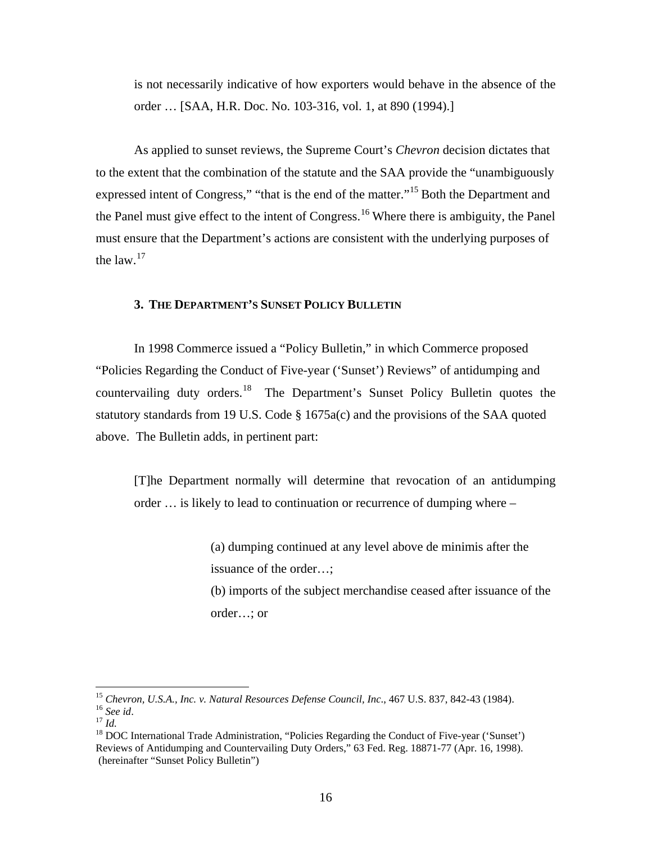is not necessarily indicative of how exporters would behave in the absence of the order … [SAA, H.R. Doc. No. 103-316, vol. 1, at 890 (1994).]

 As applied to sunset reviews, the Supreme Court's *Chevron* decision dictates that to the extent that the combination of the statute and the SAA provide the "unambiguously expressed intent of Congress," "that is the end of the matter."[15](#page-15-0) Both the Department and the Panel must give effect to the intent of Congress.<sup>[16](#page-15-1)</sup> Where there is ambiguity, the Panel must ensure that the Department's actions are consistent with the underlying purposes of the law. $17$ 

# **3. THE DEPARTMENT'S SUNSET POLICY BULLETIN**

 In 1998 Commerce issued a "Policy Bulletin," in which Commerce proposed "Policies Regarding the Conduct of Five-year ('Sunset') Reviews" of antidumping and countervailing duty orders.<sup>[18](#page-15-3)</sup> The Department's Sunset Policy Bulletin quotes the statutory standards from 19 U.S. Code § 1675a(c) and the provisions of the SAA quoted above. The Bulletin adds, in pertinent part:

[T]he Department normally will determine that revocation of an antidumping order … is likely to lead to continuation or recurrence of dumping where –

> (a) dumping continued at any level above de minimis after the issuance of the order…;

 (b) imports of the subject merchandise ceased after issuance of the order…; or

<span id="page-15-0"></span><sup>&</sup>lt;sup>15</sup> Chevron, U.S.A., Inc. v. Natural Resources Defense Council, Inc., 467 U.S. 837, 842-43 (1984).

<span id="page-15-3"></span>

<span id="page-15-2"></span><span id="page-15-1"></span><sup>&</sup>lt;sup>16</sup> See id.<br><sup>17</sup> Id.<br><sup>18</sup> DOC International Trade Administration, "Policies Regarding the Conduct of Five-year ('Sunset') Reviews of Antidumping and Countervailing Duty Orders," 63 Fed. Reg. 18871-77 (Apr. 16, 1998). (hereinafter "Sunset Policy Bulletin")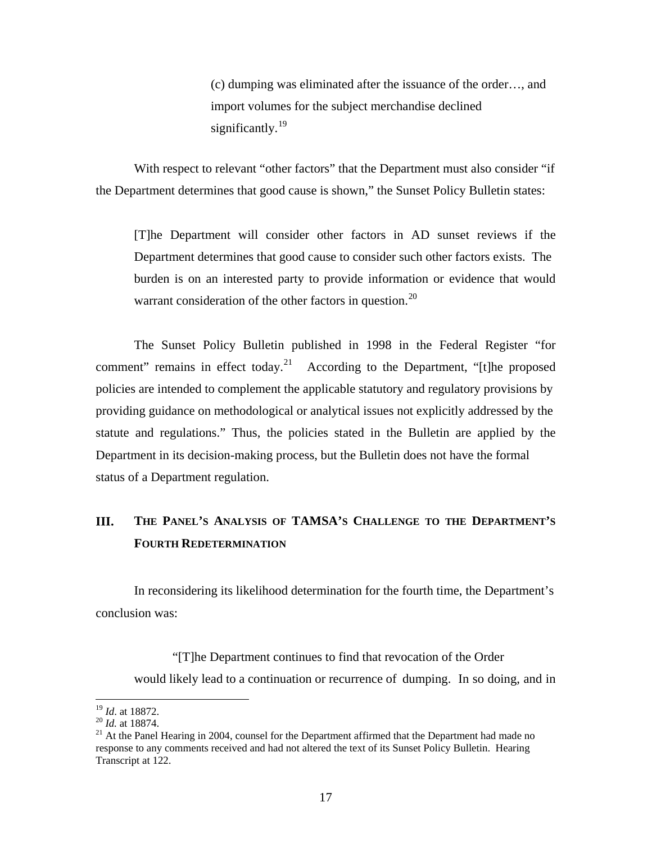(c) dumping was eliminated after the issuance of the order…, and import volumes for the subject merchandise declined significantly. $^{19}$  $^{19}$  $^{19}$ 

With respect to relevant "other factors" that the Department must also consider "if the Department determines that good cause is shown," the Sunset Policy Bulletin states:

 [T]he Department will consider other factors in AD sunset reviews if the Department determines that good cause to consider such other factors exists. The burden is on an interested party to provide information or evidence that would warrant consideration of the other factors in question.<sup>[20](#page-16-1)</sup>

 The Sunset Policy Bulletin published in 1998 in the Federal Register "for comment" remains in effect today.<sup>[21](#page-16-2)</sup> According to the Department, "[t]he proposed policies are intended to complement the applicable statutory and regulatory provisions by providing guidance on methodological or analytical issues not explicitly addressed by the statute and regulations." Thus, the policies stated in the Bulletin are applied by the Department in its decision-making process, but the Bulletin does not have the formal status of a Department regulation.

# **III. THE PANEL'S ANALYSIS OF TAMSA'S CHALLENGE TO THE DEPARTMENT'S FOURTH REDETERMINATION**

 In reconsidering its likelihood determination for the fourth time, the Department's conclusion was:

 "[T]he Department continues to find that revocation of the Order would likely lead to a continuation or recurrence of dumping. In so doing, and in

<span id="page-16-0"></span> $19$  *Id.* at 18872.

<span id="page-16-2"></span><span id="page-16-1"></span><sup>&</sup>lt;sup>20</sup> *Id.* at 18874. <sup>21</sup> *Id.* at 18874. 21 At the Panel Hearing in 2004, counsel for the Department affirmed that the Department had made no response to any comments received and had not altered the text of its Sunset Policy Bulletin. Hearing Transcript at 122.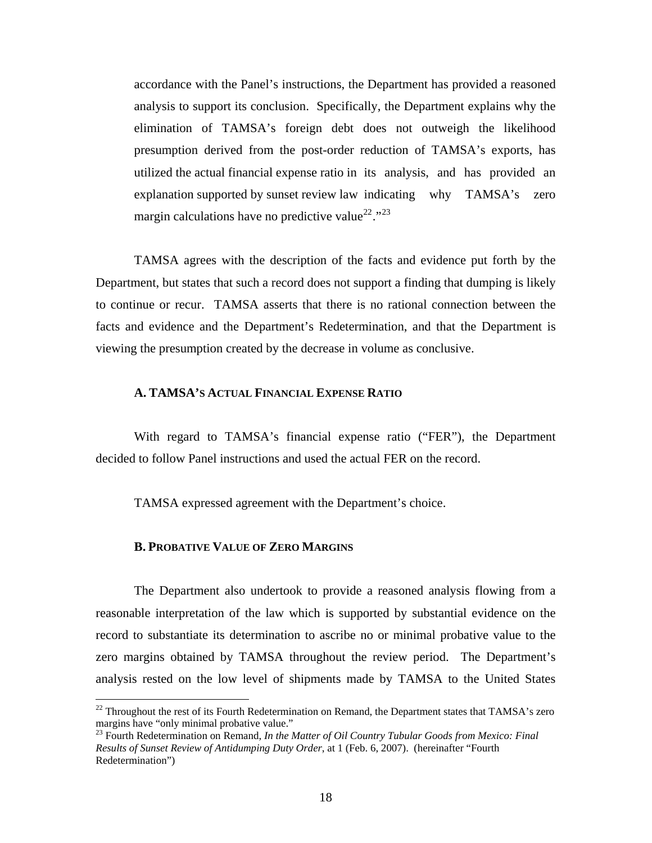accordance with the Panel's instructions, the Department has provided a reasoned analysis to support its conclusion. Specifically, the Department explains why the elimination of TAMSA's foreign debt does not outweigh the likelihood presumption derived from the post-order reduction of TAMSA's exports, has utilized the actual financial expense ratio in its analysis, and has provided an explanation supported by sunset review law indicating why TAMSA's zero margin calculations have no predictive value<sup>[22](#page-17-0)</sup>."<sup>[23](#page-17-1)</sup>

 TAMSA agrees with the description of the facts and evidence put forth by the Department, but states that such a record does not support a finding that dumping is likely to continue or recur. TAMSA asserts that there is no rational connection between the facts and evidence and the Department's Redetermination, and that the Department is viewing the presumption created by the decrease in volume as conclusive.

# **A. TAMSA'S ACTUAL FINANCIAL EXPENSE RATIO**

 With regard to TAMSA's financial expense ratio ("FER"), the Department decided to follow Panel instructions and used the actual FER on the record.

TAMSA expressed agreement with the Department's choice.

# **B. PROBATIVE VALUE OF ZERO MARGINS**

 $\overline{a}$ 

 The Department also undertook to provide a reasoned analysis flowing from a reasonable interpretation of the law which is supported by substantial evidence on the record to substantiate its determination to ascribe no or minimal probative value to the zero margins obtained by TAMSA throughout the review period. The Department's analysis rested on the low level of shipments made by TAMSA to the United States

<span id="page-17-0"></span><sup>&</sup>lt;sup>22</sup> Throughout the rest of its Fourth Redetermination on Remand, the Department states that TAMSA's zero margins have "only minimal probative value."

<span id="page-17-1"></span><sup>&</sup>lt;sup>23</sup> Fourth Redetermination on Remand, *In the Matter of Oil Country Tubular Goods from Mexico: Final Results of Sunset Review of Antidumping Duty Order*, at 1 (Feb. 6, 2007). (hereinafter "Fourth Redetermination")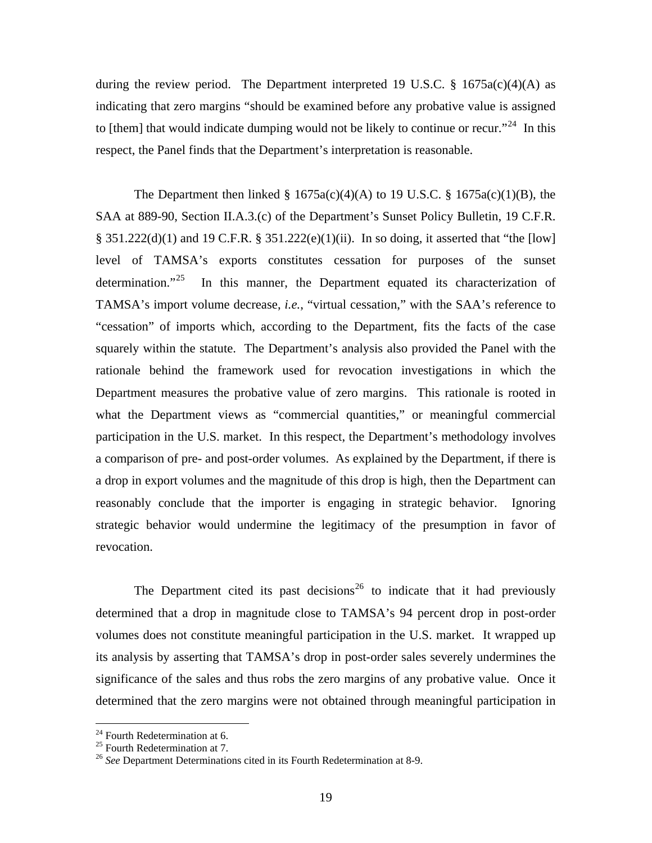during the review period. The Department interpreted 19 U.S.C.  $\S$  1675a(c)(4)(A) as indicating that zero margins "should be examined before any probative value is assigned to [them] that would indicate dumping would not be likely to continue or recur."<sup>[24](#page-18-0)</sup> In this respect, the Panel finds that the Department's interpretation is reasonable.

The Department then linked  $\S$  1675a(c)(4)(A) to 19 U.S.C.  $\S$  1675a(c)(1)(B), the SAA at 889-90, Section II.A.3.(c) of the Department's Sunset Policy Bulletin, 19 C.F.R. § 351.222(d)(1) and 19 C.F.R. § 351.222(e)(1)(ii). In so doing, it asserted that "the [low] level of TAMSA's exports constitutes cessation for purposes of the sunset determination. $125$  $125$  In this manner, the Department equated its characterization of TAMSA's import volume decrease, *i.e.*, "virtual cessation," with the SAA's reference to "cessation" of imports which, according to the Department, fits the facts of the case squarely within the statute. The Department's analysis also provided the Panel with the rationale behind the framework used for revocation investigations in which the Department measures the probative value of zero margins. This rationale is rooted in what the Department views as "commercial quantities," or meaningful commercial participation in the U.S. market. In this respect, the Department's methodology involves a comparison of pre- and post-order volumes. As explained by the Department, if there is a drop in export volumes and the magnitude of this drop is high, then the Department can reasonably conclude that the importer is engaging in strategic behavior. Ignoring strategic behavior would undermine the legitimacy of the presumption in favor of revocation.

The Department cited its past decisions<sup>[26](#page-18-2)</sup> to indicate that it had previously determined that a drop in magnitude close to TAMSA's 94 percent drop in post-order volumes does not constitute meaningful participation in the U.S. market. It wrapped up its analysis by asserting that TAMSA's drop in post-order sales severely undermines the significance of the sales and thus robs the zero margins of any probative value. Once it determined that the zero margins were not obtained through meaningful participation in

<span id="page-18-0"></span><sup>&</sup>lt;sup>24</sup> Fourth Redetermination at 6.

<span id="page-18-1"></span><sup>&</sup>lt;sup>25</sup> Fourth Redetermination at 7.

<span id="page-18-2"></span><sup>26</sup> *See* Department Determinations cited in its Fourth Redetermination at 8-9.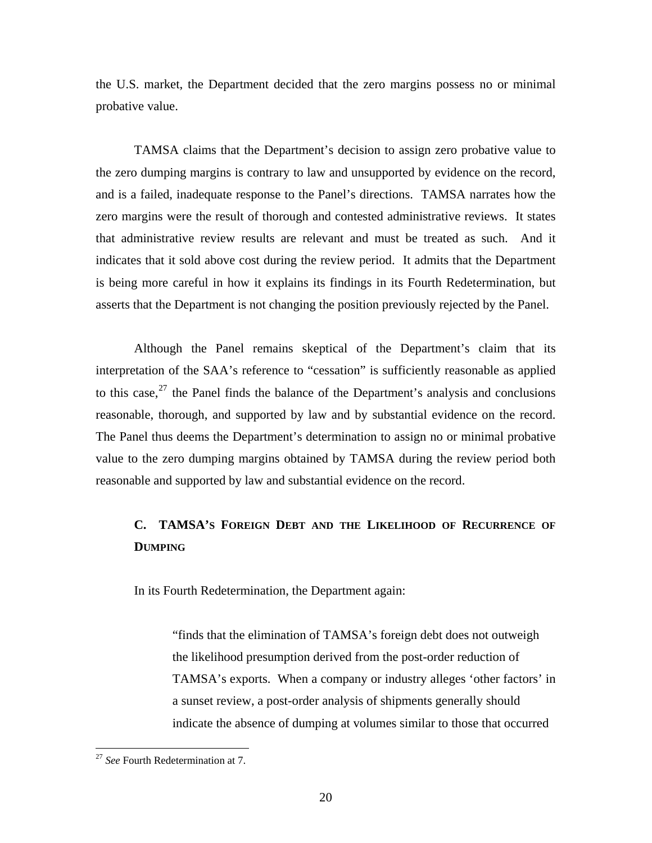the U.S. market, the Department decided that the zero margins possess no or minimal probative value.

 TAMSA claims that the Department's decision to assign zero probative value to the zero dumping margins is contrary to law and unsupported by evidence on the record, and is a failed, inadequate response to the Panel's directions. TAMSA narrates how the zero margins were the result of thorough and contested administrative reviews. It states that administrative review results are relevant and must be treated as such. And it indicates that it sold above cost during the review period. It admits that the Department is being more careful in how it explains its findings in its Fourth Redetermination, but asserts that the Department is not changing the position previously rejected by the Panel.

 Although the Panel remains skeptical of the Department's claim that its interpretation of the SAA's reference to "cessation" is sufficiently reasonable as applied to this case,  $27$  the Panel finds the balance of the Department's analysis and conclusions reasonable, thorough, and supported by law and by substantial evidence on the record. The Panel thus deems the Department's determination to assign no or minimal probative value to the zero dumping margins obtained by TAMSA during the review period both reasonable and supported by law and substantial evidence on the record.

# **C. TAMSA'S FOREIGN DEBT AND THE LIKELIHOOD OF RECURRENCE OF DUMPING**

In its Fourth Redetermination, the Department again:

 "finds that the elimination of TAMSA's foreign debt does not outweigh the likelihood presumption derived from the post-order reduction of TAMSA's exports. When a company or industry alleges 'other factors' in a sunset review, a post-order analysis of shipments generally should indicate the absence of dumping at volumes similar to those that occurred

<span id="page-19-0"></span><sup>&</sup>lt;sup>27</sup> *See* Fourth Redetermination at 7.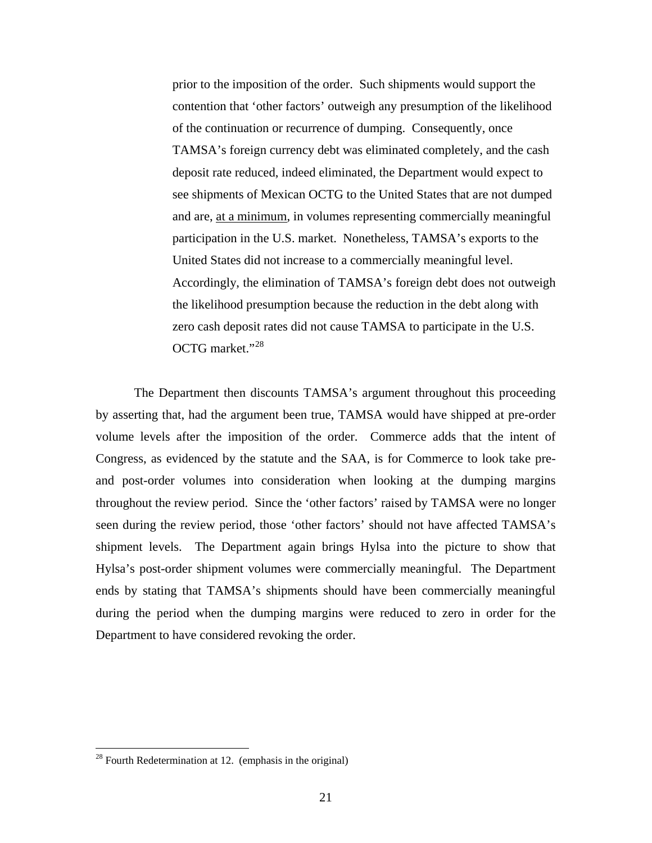prior to the imposition of the order. Such shipments would support the contention that 'other factors' outweigh any presumption of the likelihood of the continuation or recurrence of dumping. Consequently, once TAMSA's foreign currency debt was eliminated completely, and the cash deposit rate reduced, indeed eliminated, the Department would expect to see shipments of Mexican OCTG to the United States that are not dumped and are, at a minimum, in volumes representing commercially meaningful participation in the U.S. market. Nonetheless, TAMSA's exports to the United States did not increase to a commercially meaningful level. Accordingly, the elimination of TAMSA's foreign debt does not outweigh the likelihood presumption because the reduction in the debt along with zero cash deposit rates did not cause TAMSA to participate in the U.S. OCTG market."[28](#page-20-0)

 The Department then discounts TAMSA's argument throughout this proceeding by asserting that, had the argument been true, TAMSA would have shipped at pre-order volume levels after the imposition of the order. Commerce adds that the intent of Congress, as evidenced by the statute and the SAA, is for Commerce to look take preand post-order volumes into consideration when looking at the dumping margins throughout the review period. Since the 'other factors' raised by TAMSA were no longer seen during the review period, those 'other factors' should not have affected TAMSA's shipment levels. The Department again brings Hylsa into the picture to show that Hylsa's post-order shipment volumes were commercially meaningful. The Department ends by stating that TAMSA's shipments should have been commercially meaningful during the period when the dumping margins were reduced to zero in order for the Department to have considered revoking the order.

<span id="page-20-0"></span> $28$  Fourth Redetermination at 12. (emphasis in the original)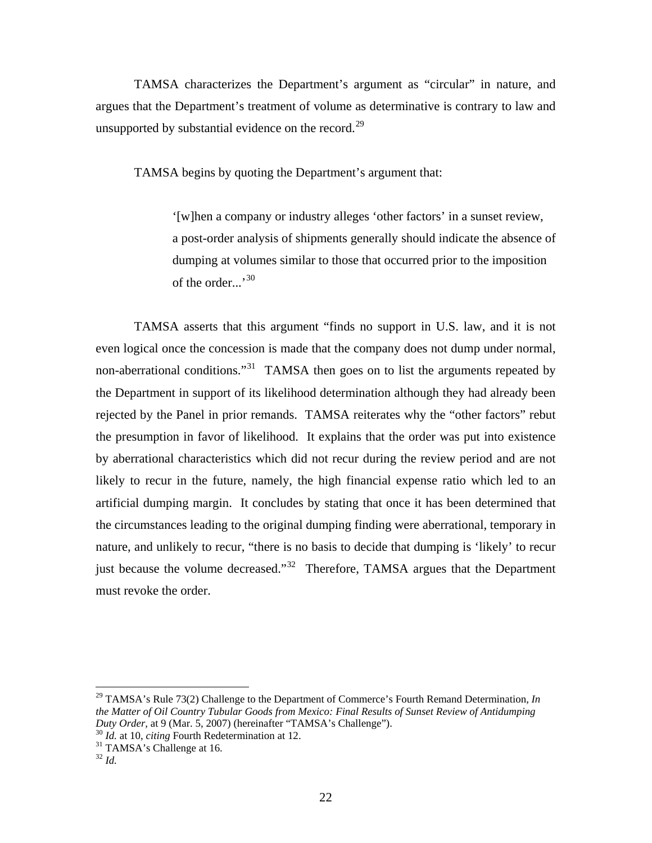TAMSA characterizes the Department's argument as "circular" in nature, and argues that the Department's treatment of volume as determinative is contrary to law and unsupported by substantial evidence on the record.<sup>[29](#page-21-0)</sup>

TAMSA begins by quoting the Department's argument that:

 '[w]hen a company or industry alleges 'other factors' in a sunset review, a post-order analysis of shipments generally should indicate the absence of dumping at volumes similar to those that occurred prior to the imposition of the order...'<sup>[30](#page-21-1)</sup>

 TAMSA asserts that this argument "finds no support in U.S. law, and it is not even logical once the concession is made that the company does not dump under normal, non-aberrational conditions."<sup>[31](#page-21-2)</sup> TAMSA then goes on to list the arguments repeated by the Department in support of its likelihood determination although they had already been rejected by the Panel in prior remands. TAMSA reiterates why the "other factors" rebut the presumption in favor of likelihood. It explains that the order was put into existence by aberrational characteristics which did not recur during the review period and are not likely to recur in the future, namely, the high financial expense ratio which led to an artificial dumping margin. It concludes by stating that once it has been determined that the circumstances leading to the original dumping finding were aberrational, temporary in nature, and unlikely to recur, "there is no basis to decide that dumping is 'likely' to recur just because the volume decreased."<sup>[32](#page-21-3)</sup> Therefore, TAMSA argues that the Department must revoke the order.

<span id="page-21-0"></span><sup>&</sup>lt;sup>29</sup> TAMSA's Rule 73(2) Challenge to the Department of Commerce's Fourth Remand Determination, *In the Matter of Oil Country Tubular Goods from Mexico: Final Results of Sunset Review of Antidumping Duty Order,* at 9 (Mar. 5, 2007) (hereinafter "TAMSA's Challenge").<br><sup>30</sup> *Id.* at 10, *citing* Fourth Redetermination at 12.<br><sup>31</sup> TAMSA's Challenge at 16.

<span id="page-21-1"></span>

<span id="page-21-3"></span><span id="page-21-2"></span><sup>32</sup> *Id.*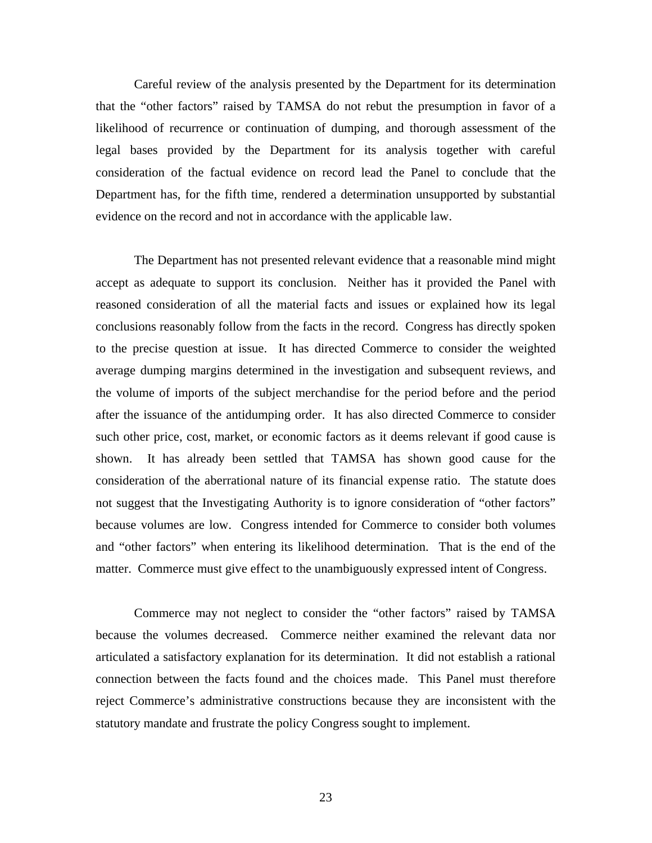Careful review of the analysis presented by the Department for its determination that the "other factors" raised by TAMSA do not rebut the presumption in favor of a likelihood of recurrence or continuation of dumping, and thorough assessment of the legal bases provided by the Department for its analysis together with careful consideration of the factual evidence on record lead the Panel to conclude that the Department has, for the fifth time, rendered a determination unsupported by substantial evidence on the record and not in accordance with the applicable law.

 The Department has not presented relevant evidence that a reasonable mind might accept as adequate to support its conclusion. Neither has it provided the Panel with reasoned consideration of all the material facts and issues or explained how its legal conclusions reasonably follow from the facts in the record. Congress has directly spoken to the precise question at issue. It has directed Commerce to consider the weighted average dumping margins determined in the investigation and subsequent reviews, and the volume of imports of the subject merchandise for the period before and the period after the issuance of the antidumping order. It has also directed Commerce to consider such other price, cost, market, or economic factors as it deems relevant if good cause is shown. It has already been settled that TAMSA has shown good cause for the consideration of the aberrational nature of its financial expense ratio. The statute does not suggest that the Investigating Authority is to ignore consideration of "other factors" because volumes are low. Congress intended for Commerce to consider both volumes and "other factors" when entering its likelihood determination. That is the end of the matter. Commerce must give effect to the unambiguously expressed intent of Congress.

 Commerce may not neglect to consider the "other factors" raised by TAMSA because the volumes decreased. Commerce neither examined the relevant data nor articulated a satisfactory explanation for its determination. It did not establish a rational connection between the facts found and the choices made. This Panel must therefore reject Commerce's administrative constructions because they are inconsistent with the statutory mandate and frustrate the policy Congress sought to implement.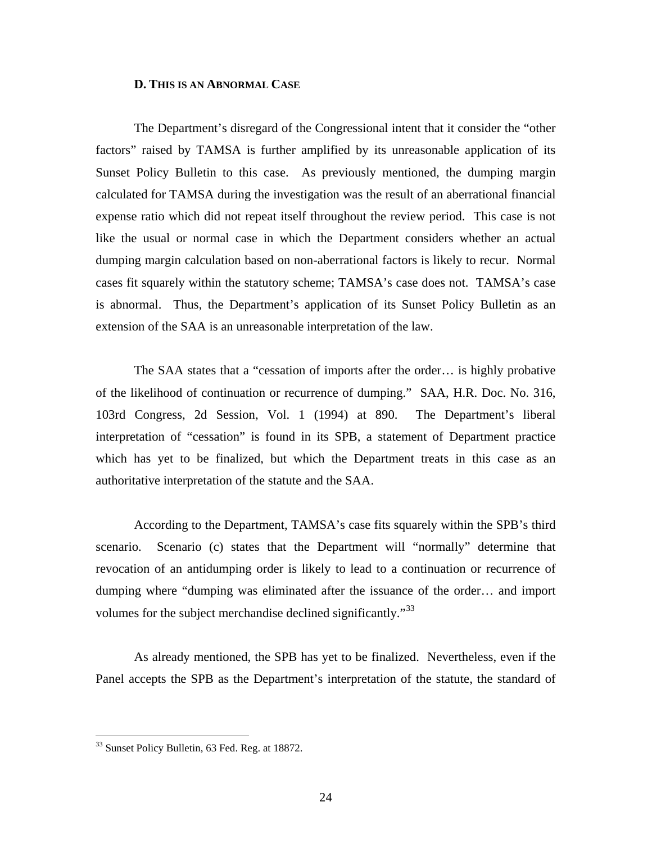#### **D. THIS IS AN ABNORMAL CASE**

 The Department's disregard of the Congressional intent that it consider the "other factors" raised by TAMSA is further amplified by its unreasonable application of its Sunset Policy Bulletin to this case. As previously mentioned, the dumping margin calculated for TAMSA during the investigation was the result of an aberrational financial expense ratio which did not repeat itself throughout the review period. This case is not like the usual or normal case in which the Department considers whether an actual dumping margin calculation based on non-aberrational factors is likely to recur. Normal cases fit squarely within the statutory scheme; TAMSA's case does not. TAMSA's case is abnormal. Thus, the Department's application of its Sunset Policy Bulletin as an extension of the SAA is an unreasonable interpretation of the law.

 The SAA states that a "cessation of imports after the order… is highly probative of the likelihood of continuation or recurrence of dumping." SAA, H.R. Doc. No. 316, 103rd Congress, 2d Session, Vol. 1 (1994) at 890. The Department's liberal interpretation of "cessation" is found in its SPB, a statement of Department practice which has yet to be finalized, but which the Department treats in this case as an authoritative interpretation of the statute and the SAA.

 According to the Department, TAMSA's case fits squarely within the SPB's third scenario. Scenario (c) states that the Department will "normally" determine that revocation of an antidumping order is likely to lead to a continuation or recurrence of dumping where "dumping was eliminated after the issuance of the order… and import volumes for the subject merchandise declined significantly."<sup>[33](#page-23-0)</sup>

 As already mentioned, the SPB has yet to be finalized. Nevertheless, even if the Panel accepts the SPB as the Department's interpretation of the statute, the standard of

<span id="page-23-0"></span><sup>&</sup>lt;sup>33</sup> Sunset Policy Bulletin, 63 Fed. Reg. at 18872.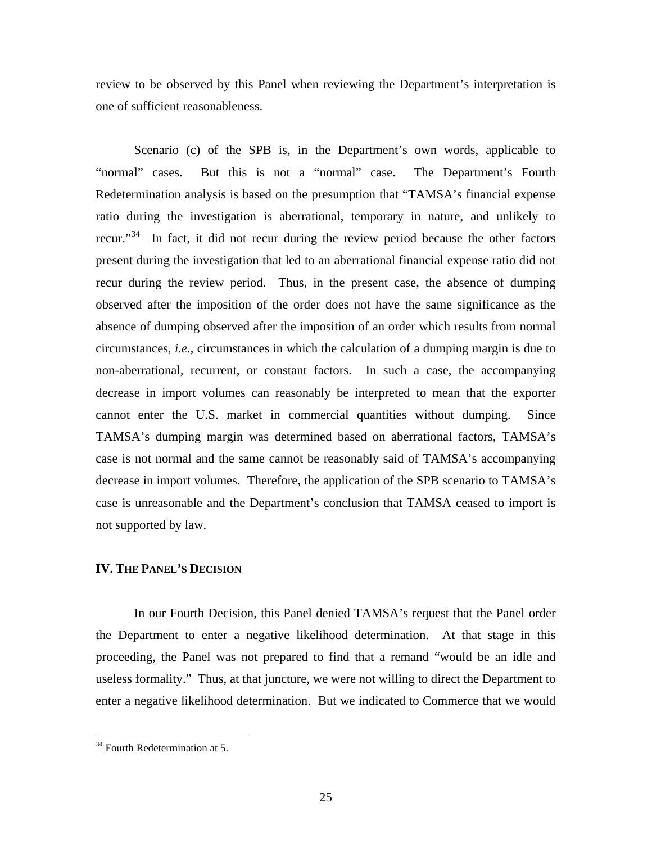review to be observed by this Panel when reviewing the Department's interpretation is one of sufficient reasonableness.

 Scenario (c) of the SPB is, in the Department's own words, applicable to "normal" cases. But this is not a "normal" case. The Department's Fourth Redetermination analysis is based on the presumption that "TAMSA's financial expense ratio during the investigation is aberrational, temporary in nature, and unlikely to recur."<sup>[34](#page-24-0)</sup> In fact, it did not recur during the review period because the other factors present during the investigation that led to an aberrational financial expense ratio did not recur during the review period. Thus, in the present case, the absence of dumping observed after the imposition of the order does not have the same significance as the absence of dumping observed after the imposition of an order which results from normal circumstances, *i.e.*, circumstances in which the calculation of a dumping margin is due to non-aberrational, recurrent, or constant factors. In such a case, the accompanying decrease in import volumes can reasonably be interpreted to mean that the exporter cannot enter the U.S. market in commercial quantities without dumping. Since TAMSA's dumping margin was determined based on aberrational factors, TAMSA's case is not normal and the same cannot be reasonably said of TAMSA's accompanying decrease in import volumes. Therefore, the application of the SPB scenario to TAMSA's case is unreasonable and the Department's conclusion that TAMSA ceased to import is not supported by law.

# **IV. THE PANEL'S DECISION**

 In our Fourth Decision, this Panel denied TAMSA's request that the Panel order the Department to enter a negative likelihood determination. At that stage in this proceeding, the Panel was not prepared to find that a remand "would be an idle and useless formality." Thus, at that juncture, we were not willing to direct the Department to enter a negative likelihood determination. But we indicated to Commerce that we would

<span id="page-24-0"></span> $34$  Fourth Redetermination at 5.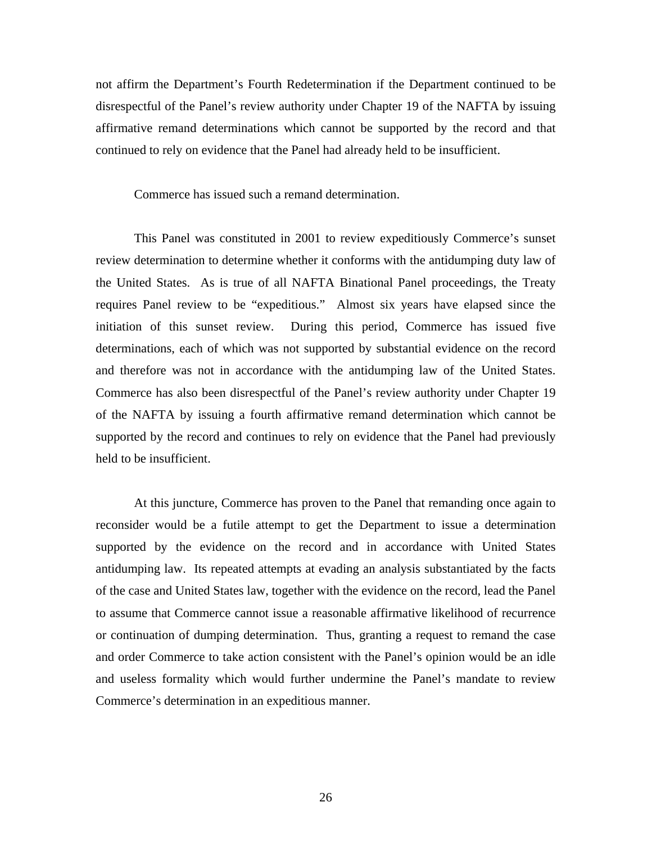not affirm the Department's Fourth Redetermination if the Department continued to be disrespectful of the Panel's review authority under Chapter 19 of the NAFTA by issuing affirmative remand determinations which cannot be supported by the record and that continued to rely on evidence that the Panel had already held to be insufficient.

Commerce has issued such a remand determination.

 This Panel was constituted in 2001 to review expeditiously Commerce's sunset review determination to determine whether it conforms with the antidumping duty law of the United States. As is true of all NAFTA Binational Panel proceedings, the Treaty requires Panel review to be "expeditious." Almost six years have elapsed since the initiation of this sunset review. During this period, Commerce has issued five determinations, each of which was not supported by substantial evidence on the record and therefore was not in accordance with the antidumping law of the United States. Commerce has also been disrespectful of the Panel's review authority under Chapter 19 of the NAFTA by issuing a fourth affirmative remand determination which cannot be supported by the record and continues to rely on evidence that the Panel had previously held to be insufficient.

At this juncture, Commerce has proven to the Panel that remanding once again to reconsider would be a futile attempt to get the Department to issue a determination supported by the evidence on the record and in accordance with United States antidumping law.Its repeated attempts at evading an analysis substantiated by the facts of the case and United States law, together with the evidence on the record, lead the Panel to assume that Commerce cannot issue a reasonable affirmative likelihood of recurrence or continuation of dumping determination. Thus, granting a request to remand the case and order Commerce to take action consistent with the Panel's opinion would be an idle and useless formality which would further undermine the Panel's mandate to review Commerce's determination in an expeditious manner.